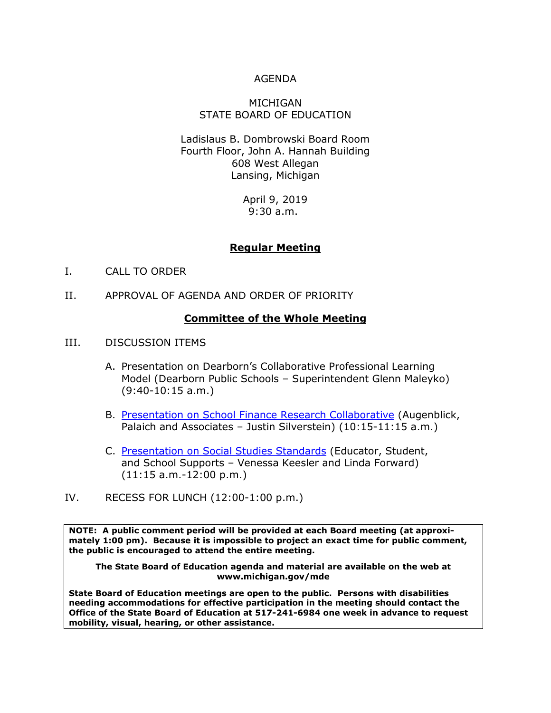#### AGENDA

#### MICHIGAN STATE BOARD OF EDUCATION

Ladislaus B. Dombrowski Board Room Fourth Floor, John A. Hannah Building 608 West Allegan Lansing, Michigan

> April 9, 2019 9:30 a.m.

## **Regular Meeting**

- I. CALL TO ORDER
- II. APPROVAL OF AGENDA AND ORDER OF PRIORITY

#### **Committee of the Whole Meeting**

- III. DISCUSSION ITEMS
	- A. Presentation on Dearborn's Collaborative Professional Learning Model (Dearborn Public Schools – Superintendent Glenn Maleyko) (9:40-10:15 a.m.)
	- B. Presentation on School Finance [Research Collaborative](https://www.fundmischools.org/) (Augenblick, Palaich and Associates – Justin Silverstein) (10:15-11:15 a.m.)
	- C. [Presentation on Social Studies Standards](http://www.michigan.gov/documents/mde/Item_C_Social_Studies_Standards_SBE_Presentation_650163_7.pdf) (Educator, Student, and School Supports – Venessa Keesler and Linda Forward) (11:15 a.m.-12:00 p.m.)
- IV. RECESS FOR LUNCH (12:00-1:00 p.m.)

**NOTE: A public comment period will be provided at each Board meeting (at approximately 1:00 pm). Because it is impossible to project an exact time for public comment, the public is encouraged to attend the entire meeting.**

**The State Board of Education agenda and material are available on the web at www.michigan.gov/mde**

**State Board of Education meetings are open to the public. Persons with disabilities needing accommodations for effective participation in the meeting should contact the Office of the State Board of Education at 517-241-6984 one week in advance to request mobility, visual, hearing, or other assistance.**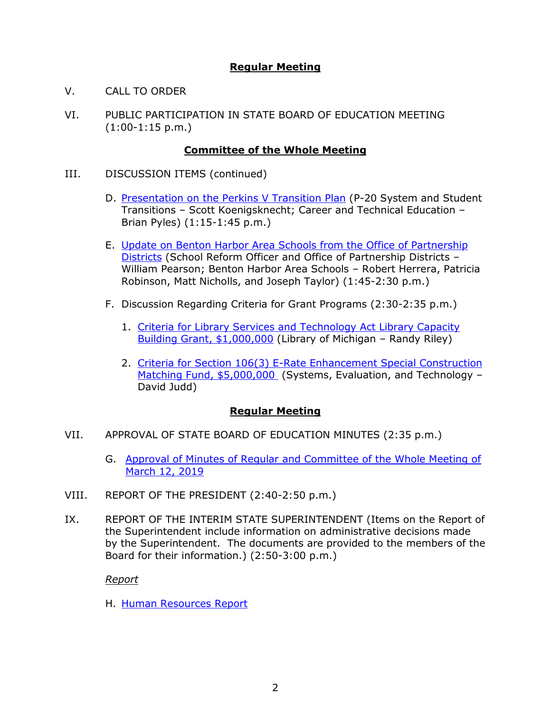# **Regular Meeting**

- V. CALL TO ORDER
- VI. PUBLIC PARTICIPATION IN STATE BOARD OF EDUCATION MEETING  $(1:00-1:15 \text{ p.m.})$

## **Committee of the Whole Meeting**

- III. DISCUSSION ITEMS (continued)
	- D. Presentation on [the Perkins V Transition Plan](http://www.michigan.gov/documents/mde/Item_D_Presentation_on_Perkins_V_Transition_Plan_650640_7.pdf) (P-20 System and Student Transitions – Scott Koenigsknecht; Career and Technical Education – Brian Pyles) (1:15-1:45 p.m.)
	- E. [Update on Benton Harbor Area Schools from the Office of Partnership](http://www.michigan.gov/documents/mde/Item_E_Partnership_Districts_650164_7.pdf)  [Districts](http://www.michigan.gov/documents/mde/Item_E_Partnership_Districts_650164_7.pdf) (School Reform Officer and Office of Partnership Districts – William Pearson; Benton Harbor Area Schools – Robert Herrera, Patricia Robinson, Matt Nicholls, and Joseph Taylor) (1:45-2:30 p.m.)
	- F. Discussion Regarding Criteria for Grant Programs (2:30-2:35 p.m.)
		- 1. Criteria for [Library Services and Technology Act Library Capacity](http://www.michigan.gov/documents/mde/Item_F1_and_M_Criteria_LSTA_Library_Capacity_Building_Grant_Program_650265_7.pdf)  [Building Grant, \\$1,000,000](http://www.michigan.gov/documents/mde/Item_F1_and_M_Criteria_LSTA_Library_Capacity_Building_Grant_Program_650265_7.pdf) (Library of Michigan – Randy Riley)
		- 2. Criteria for Section 106(3) E-Rate Enhancement Special Construction [Matching Fund, \\$5,000,000](http://www.michigan.gov/documents/mde/Items_F2_N_Criteria__Section_1063_-_E-Rate_Enhancement_Special_Construction_Matching_Fund_040919_650166_7.pdf) (Systems, Evaluation, and Technology – David Judd)

## **Regular Meeting**

- VII. APPROVAL OF STATE BOARD OF EDUCATION MINUTES (2:35 p.m.)
	- G. [Approval of Minutes of Regular and Committee of the Whole Meeting of](http://www.michigan.gov/documents/mde/Item_G_SBE_Minutes_March_12_2019_650641_7.pdf) March [12, 2019](http://www.michigan.gov/documents/mde/Item_G_SBE_Minutes_March_12_2019_650641_7.pdf)
- VIII. REPORT OF THE PRESIDENT (2:40-2:50 p.m.)
- IX. REPORT OF THE INTERIM STATE SUPERINTENDENT (Items on the Report of the Superintendent include information on administrative decisions made by the Superintendent. The documents are provided to the members of the Board for their information.) (2:50-3:00 p.m.)

#### *Report*

H. [Human Resources Report](http://www.michigan.gov/documents/mde/Item_H_Human_Resources_Report_April_9_2019_650643_7.pdf)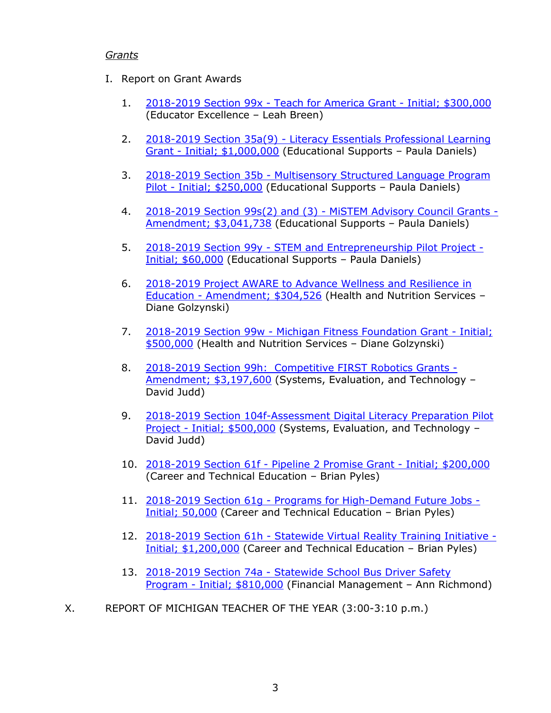### *Grants*

- I. Report on Grant Awards
	- 1. 2018-2019 Section 99x [Teach for America Grant -](https://gcc01.safelinks.protection.outlook.com/?url=http%3A%2F%2Fwww.michigan.gov%2Fdocuments%2Fmde%2F2018-2019_Section_99x_-_Teach_for_America_Grant_-_Initial_300000_649086_7.pdf&data=02%7C01%7CSchneiderM%40michigan.gov%7C9039409f4e2d4f9a755f08d6a7b841f0%7Cd5fb7087377742ad966a892ef47225d1%7C0%7C0%7C636880807155345275&sdata=S1s3%2FYfhLS2JUKzc%2BPoDuebWl8bvguCmAbaQhdFdBDs%3D&reserved=0) Initial; \$300,000 (Educator Excellence – Leah Breen)
	- 2. 2018-2019 Section 35a(9) [Literacy Essentials Professional Learning](https://gcc01.safelinks.protection.outlook.com/?url=http%3A%2F%2Fwww.michigan.gov%2Fdocuments%2Fmde%2F2018-2019_Section_35a9_-_Literacy_Essentials_Professional_Learning_Grant_-_Initial_1000000_649060_7.pdf&data=02%7C01%7CSchneiderM%40michigan.gov%7C9039409f4e2d4f9a755f08d6a7b841f0%7Cd5fb7087377742ad966a892ef47225d1%7C0%7C0%7C636880807155355289&sdata=mQkY%2FbAsP1dOtDZtnSNbJyW0Arel5GubG3Er0OiYnqw%3D&reserved=0)  Grant - [Initial; \\$1,000,000](https://gcc01.safelinks.protection.outlook.com/?url=http%3A%2F%2Fwww.michigan.gov%2Fdocuments%2Fmde%2F2018-2019_Section_35a9_-_Literacy_Essentials_Professional_Learning_Grant_-_Initial_1000000_649060_7.pdf&data=02%7C01%7CSchneiderM%40michigan.gov%7C9039409f4e2d4f9a755f08d6a7b841f0%7Cd5fb7087377742ad966a892ef47225d1%7C0%7C0%7C636880807155355289&sdata=mQkY%2FbAsP1dOtDZtnSNbJyW0Arel5GubG3Er0OiYnqw%3D&reserved=0) (Educational Supports – Paula Daniels)
	- 3. 2018-2019 Section 35b [Multisensory Structured Language Program](https://gcc01.safelinks.protection.outlook.com/?url=http%3A%2F%2Fwww.michigan.gov%2Fdocuments%2Fmde%2F2018-2019_Section_35b_-_Multisensory_Structured_Language_Program_Pilot_-_Initial_250000_649061_7.pdf&data=02%7C01%7CSchneiderM%40michigan.gov%7C9039409f4e2d4f9a755f08d6a7b841f0%7Cd5fb7087377742ad966a892ef47225d1%7C0%7C0%7C636880807155365291&sdata=A%2FCAmJswgmpPY6hVOeFqMWiNrQ3xnjhRM0EARB8oy04%3D&reserved=0)  Pilot - [Initial; \\$250,000](https://gcc01.safelinks.protection.outlook.com/?url=http%3A%2F%2Fwww.michigan.gov%2Fdocuments%2Fmde%2F2018-2019_Section_35b_-_Multisensory_Structured_Language_Program_Pilot_-_Initial_250000_649061_7.pdf&data=02%7C01%7CSchneiderM%40michigan.gov%7C9039409f4e2d4f9a755f08d6a7b841f0%7Cd5fb7087377742ad966a892ef47225d1%7C0%7C0%7C636880807155365291&sdata=A%2FCAmJswgmpPY6hVOeFqMWiNrQ3xnjhRM0EARB8oy04%3D&reserved=0) (Educational Supports – Paula Daniels)
	- 4. [2018-2019 Section 99s\(2\) and \(3\) -](https://gcc01.safelinks.protection.outlook.com/?url=http%3A%2F%2Fwww.michigan.gov%2Fdocuments%2Fmde%2F2018-2019_Section_99s2_and_3_-_MiSTEM_Advisory_Council_Grants_-_Amendment_3041738_649076_7.pdf&data=02%7C01%7CSchneiderM%40michigan.gov%7C9039409f4e2d4f9a755f08d6a7b841f0%7Cd5fb7087377742ad966a892ef47225d1%7C0%7C0%7C636880807155385312&sdata=j%2FFU1YJPbBr7MqWDnnmPP5TyckMevJPIo692eRmtWAw%3D&reserved=0) MiSTEM Advisory Council Grants [Amendment; \\$3,041,738](https://gcc01.safelinks.protection.outlook.com/?url=http%3A%2F%2Fwww.michigan.gov%2Fdocuments%2Fmde%2F2018-2019_Section_99s2_and_3_-_MiSTEM_Advisory_Council_Grants_-_Amendment_3041738_649076_7.pdf&data=02%7C01%7CSchneiderM%40michigan.gov%7C9039409f4e2d4f9a755f08d6a7b841f0%7Cd5fb7087377742ad966a892ef47225d1%7C0%7C0%7C636880807155385312&sdata=j%2FFU1YJPbBr7MqWDnnmPP5TyckMevJPIo692eRmtWAw%3D&reserved=0) (Educational Supports – Paula Daniels)
	- 5. 2018-2019 Section 99y [STEM and Entrepreneurship Pilot Project -](https://gcc01.safelinks.protection.outlook.com/?url=http%3A%2F%2Fwww.michigan.gov%2Fdocuments%2Fmde%2F2018-2019_Section_99y_-_STEM_and_Entrepreneurship_Pilot_Project_-_Initial_60000_649119_7.pdf&data=02%7C01%7CSchneiderM%40michigan.gov%7C9039409f4e2d4f9a755f08d6a7b841f0%7Cd5fb7087377742ad966a892ef47225d1%7C0%7C0%7C636880807155385312&sdata=6hBTa14yLLPugqzc%2B9i48j0TFPxyvyHdXydZbm0NZNM%3D&reserved=0) [Initial; \\$60,000](https://gcc01.safelinks.protection.outlook.com/?url=http%3A%2F%2Fwww.michigan.gov%2Fdocuments%2Fmde%2F2018-2019_Section_99y_-_STEM_and_Entrepreneurship_Pilot_Project_-_Initial_60000_649119_7.pdf&data=02%7C01%7CSchneiderM%40michigan.gov%7C9039409f4e2d4f9a755f08d6a7b841f0%7Cd5fb7087377742ad966a892ef47225d1%7C0%7C0%7C636880807155385312&sdata=6hBTa14yLLPugqzc%2B9i48j0TFPxyvyHdXydZbm0NZNM%3D&reserved=0) (Educational Supports – Paula Daniels)
	- 6. [2018-2019 Project AWARE to Advance Wellness and Resilience in](https://gcc01.safelinks.protection.outlook.com/?url=http%3A%2F%2Fwww.michigan.gov%2Fdocuments%2Fmde%2F2018-2019_Project_AWARE_to_Advance_Wellness_and_Resilience_in_Education_-_Amendment_304526_649057_7.pdf&data=02%7C01%7CSchneiderM%40michigan.gov%7C9039409f4e2d4f9a755f08d6a7b841f0%7Cd5fb7087377742ad966a892ef47225d1%7C0%7C0%7C636880807155395325&sdata=9Lg%2FNAtTplHS%2BpYyrj1GOVPmxZ%2B4VxQT%2FmLzv3UKMOE%3D&reserved=0)  Education - [Amendment; \\$304,526](https://gcc01.safelinks.protection.outlook.com/?url=http%3A%2F%2Fwww.michigan.gov%2Fdocuments%2Fmde%2F2018-2019_Project_AWARE_to_Advance_Wellness_and_Resilience_in_Education_-_Amendment_304526_649057_7.pdf&data=02%7C01%7CSchneiderM%40michigan.gov%7C9039409f4e2d4f9a755f08d6a7b841f0%7Cd5fb7087377742ad966a892ef47225d1%7C0%7C0%7C636880807155395325&sdata=9Lg%2FNAtTplHS%2BpYyrj1GOVPmxZ%2B4VxQT%2FmLzv3UKMOE%3D&reserved=0) (Health and Nutrition Services – Diane Golzynski)
	- 7. 2018-2019 Section 99w [Michigan Fitness Foundation Grant -](https://gcc01.safelinks.protection.outlook.com/?url=http%3A%2F%2Fwww.michigan.gov%2Fdocuments%2Fmde%2F2018-2019_Section_99w_-_Michigan_Fitness_Foundation_Grant_-_Initial_500000_649083_7.pdf&data=02%7C01%7CSchneiderM%40michigan.gov%7C9039409f4e2d4f9a755f08d6a7b841f0%7Cd5fb7087377742ad966a892ef47225d1%7C0%7C0%7C636880807155405328&sdata=AVve%2FaJyoEO4MRlhI5%2FKLGun%2BVoNUaPRUorndttnaOM%3D&reserved=0) Initial; [\\$500,000](https://gcc01.safelinks.protection.outlook.com/?url=http%3A%2F%2Fwww.michigan.gov%2Fdocuments%2Fmde%2F2018-2019_Section_99w_-_Michigan_Fitness_Foundation_Grant_-_Initial_500000_649083_7.pdf&data=02%7C01%7CSchneiderM%40michigan.gov%7C9039409f4e2d4f9a755f08d6a7b841f0%7Cd5fb7087377742ad966a892ef47225d1%7C0%7C0%7C636880807155405328&sdata=AVve%2FaJyoEO4MRlhI5%2FKLGun%2BVoNUaPRUorndttnaOM%3D&reserved=0) (Health and Nutrition Services – Diane Golzynski)
	- 8. 2018-2019 Section 99h: [Competitive FIRST Robotics Grants -](https://gcc01.safelinks.protection.outlook.com/?url=http%3A%2F%2Fwww.michigan.gov%2Fdocuments%2Fmde%2F2018-2019_Section_99h__Competitive_FIRST_Robotics_Grants_-_Amendment_3197600_649072_7.pdf&data=02%7C01%7CSchneiderM%40michigan.gov%7C9039409f4e2d4f9a755f08d6a7b841f0%7Cd5fb7087377742ad966a892ef47225d1%7C0%7C0%7C636880807155415341&sdata=uRvIO2UYYrdBe3ePO0K6rw5iLyn16p88MsTnIt4VW2s%3D&reserved=0) [Amendment; \\$3,197,600](https://gcc01.safelinks.protection.outlook.com/?url=http%3A%2F%2Fwww.michigan.gov%2Fdocuments%2Fmde%2F2018-2019_Section_99h__Competitive_FIRST_Robotics_Grants_-_Amendment_3197600_649072_7.pdf&data=02%7C01%7CSchneiderM%40michigan.gov%7C9039409f4e2d4f9a755f08d6a7b841f0%7Cd5fb7087377742ad966a892ef47225d1%7C0%7C0%7C636880807155415341&sdata=uRvIO2UYYrdBe3ePO0K6rw5iLyn16p88MsTnIt4VW2s%3D&reserved=0) (Systems, Evaluation, and Technology -David Judd)
	- 9. 2018-2019 Section 104f-Assessment Digital Literacy Preparation Pilot Project - [Initial; \\$500,000](https://gcc01.safelinks.protection.outlook.com/?url=http%3A%2F%2Fwww.michigan.gov%2Fdocuments%2Fmde%2F2018-2019_Section_104f-Assessment_Digital_Literacy_Preparation_Pilot_Project_-_Initial_500000_649125_7.pdf&data=02%7C01%7CSchneiderM%40michigan.gov%7C9039409f4e2d4f9a755f08d6a7b841f0%7Cd5fb7087377742ad966a892ef47225d1%7C0%7C0%7C636880807155425349&sdata=ROIDDdJq6CVGmE%2BDM12bsvQtKKG1bQk3Ovp5DOl6nlw%3D&reserved=0) (Systems, Evaluation, and Technology – David Judd)
	- 10. 2018-2019 Section 61f [Pipeline 2 Promise Grant -](https://gcc01.safelinks.protection.outlook.com/?url=http%3A%2F%2Fwww.michigan.gov%2Fdocuments%2Fmde%2F2018-2019_Section_61f_-_Pipeline_2_Promise_Grant_-_Initial_200000_649062_7.pdf&data=02%7C01%7CSchneiderM%40michigan.gov%7C9039409f4e2d4f9a755f08d6a7b841f0%7Cd5fb7087377742ad966a892ef47225d1%7C0%7C0%7C636880807155435345&sdata=z13IO8T5kgIfuviISrh5eY2Sxhg8%2FN4f0MZ%2FG%2BpUl9k%3D&reserved=0) Initial; \$200,000 (Career and Technical Education – Brian Pyles)
	- 11. 2018-2019 Section 61g [Programs for High-Demand Future Jobs -](https://gcc01.safelinks.protection.outlook.com/?url=http%3A%2F%2Fwww.michigan.gov%2Fdocuments%2Fmde%2F2018-2019_Section_61g_-_Programs_for_High-Demand_Future_Jobs_-_Initial_50000_649064_7.pdf&data=02%7C01%7CSchneiderM%40michigan.gov%7C9039409f4e2d4f9a755f08d6a7b841f0%7Cd5fb7087377742ad966a892ef47225d1%7C0%7C0%7C636880807155445359&sdata=27y3q0JmSisCr9JjCLLqWjtppp4zuME5BXf7%2Bkenqdw%3D&reserved=0) [Initial; 50,000](https://gcc01.safelinks.protection.outlook.com/?url=http%3A%2F%2Fwww.michigan.gov%2Fdocuments%2Fmde%2F2018-2019_Section_61g_-_Programs_for_High-Demand_Future_Jobs_-_Initial_50000_649064_7.pdf&data=02%7C01%7CSchneiderM%40michigan.gov%7C9039409f4e2d4f9a755f08d6a7b841f0%7Cd5fb7087377742ad966a892ef47225d1%7C0%7C0%7C636880807155445359&sdata=27y3q0JmSisCr9JjCLLqWjtppp4zuME5BXf7%2Bkenqdw%3D&reserved=0) (Career and Technical Education – Brian Pyles)
	- 12. 2018-2019 Section 61h [Statewide Virtual Reality Training Initiative -](https://gcc01.safelinks.protection.outlook.com/?url=http%3A%2F%2Fwww.michigan.gov%2Fdocuments%2Fmde%2F2018-2019_Section_61h_-_Statewide_Virtual_Reality_Training_Initiative_-_Initial_1200000_649066_7.pdf&data=02%7C01%7CSchneiderM%40michigan.gov%7C9039409f4e2d4f9a755f08d6a7b841f0%7Cd5fb7087377742ad966a892ef47225d1%7C0%7C0%7C636880807155455361&sdata=bgBeQCHfxAhc9gp473XSnIp%2FEesmEjv6h%2FlReABLIXw%3D&reserved=0) [Initial; \\$1,200,000](https://gcc01.safelinks.protection.outlook.com/?url=http%3A%2F%2Fwww.michigan.gov%2Fdocuments%2Fmde%2F2018-2019_Section_61h_-_Statewide_Virtual_Reality_Training_Initiative_-_Initial_1200000_649066_7.pdf&data=02%7C01%7CSchneiderM%40michigan.gov%7C9039409f4e2d4f9a755f08d6a7b841f0%7Cd5fb7087377742ad966a892ef47225d1%7C0%7C0%7C636880807155455361&sdata=bgBeQCHfxAhc9gp473XSnIp%2FEesmEjv6h%2FlReABLIXw%3D&reserved=0) (Career and Technical Education – Brian Pyles)
	- 13. 2018-2019 Section 74a [Statewide School Bus Driver Safety](https://gcc01.safelinks.protection.outlook.com/?url=http%3A%2F%2Fwww.michigan.gov%2Fdocuments%2Fmde%2F2018-2019_Section_74a_-_Statewide_School_Bus_Driver_Safety_Program_-_Initial_810000_649069_7.pdf&data=02%7C01%7CSchneiderM%40michigan.gov%7C9039409f4e2d4f9a755f08d6a7b841f0%7Cd5fb7087377742ad966a892ef47225d1%7C0%7C0%7C636880807155465369&sdata=VQwP0Cio9ZpzhiNaF4eDb25QncrPZtzBgQQoF21lUfU%3D&reserved=0)  Program - [Initial; \\$810,000](https://gcc01.safelinks.protection.outlook.com/?url=http%3A%2F%2Fwww.michigan.gov%2Fdocuments%2Fmde%2F2018-2019_Section_74a_-_Statewide_School_Bus_Driver_Safety_Program_-_Initial_810000_649069_7.pdf&data=02%7C01%7CSchneiderM%40michigan.gov%7C9039409f4e2d4f9a755f08d6a7b841f0%7Cd5fb7087377742ad966a892ef47225d1%7C0%7C0%7C636880807155465369&sdata=VQwP0Cio9ZpzhiNaF4eDb25QncrPZtzBgQQoF21lUfU%3D&reserved=0) (Financial Management – Ann Richmond)
- X. REPORT OF MICHIGAN TEACHER OF THE YEAR (3:00-3:10 p.m.)